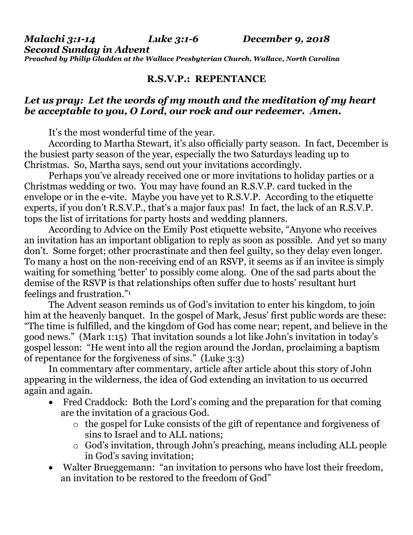*Malachi 3:1-14 Luke 3:1-6 December 9, 2018 Second Sunday in Advent Preached by Philip Gladden at the Wallace Presbyterian Church, Wallace, North Carolina*

## **R.S.V.P.: REPENTANCE**

## *Let us pray: Let the words of my mouth and the meditation of my heart be acceptable to you, O Lord, our rock and our redeemer. Amen.*

It's the most wonderful time of the year.

According to Martha Stewart, it's also officially party season. In fact, December is the busiest party season of the year, especially the two Saturdays leading up to Christmas. So, Martha says, send out your invitations accordingly.

Perhaps you've already received one or more invitations to holiday parties or a Christmas wedding or two. You may have found an R.S.V.P. card tucked in the envelope or in the e-vite. Maybe you have yet to R.S.V.P. According to the etiquette experts, if you don't R.S.V.P., that's a major faux pas! In fact, the lack of an R.S.V.P. tops the list of irritations for party hosts and wedding planners.

According to Advice on the Emily Post etiquette website, "Anyone who receives an invitation has an important obligation to reply as soon as possible. And yet so many don't. Some forget; other procrastinate and then feel guilty, so they delay even longer. To many a host on the non-receiving end of an RSVP, it seems as if an invitee is simply waiting for something 'better' to possibly come along. One of the sad parts about the demise of the RSVP is that relationships often suffer due to hosts' resultant hurt feelings and frustration."<sup>1</sup>

The Advent season reminds us of God's invitation to enter his kingdom, to join him at the heavenly banquet. In the gospel of Mark, Jesus' first public words are these: "The time is fulfilled, and the kingdom of God has come near; repent, and believe in the good news." (Mark 1:15) That invitation sounds a lot like John's invitation in today's gospel lesson: "He went into all the region around the Jordan, proclaiming a baptism of repentance for the forgiveness of sins." (Luke 3:3)

In commentary after commentary, article after article about this story of John appearing in the wilderness, the idea of God extending an invitation to us occurred again and again.

- Fred Craddock: Both the Lord's coming and the preparation for that coming are the invitation of a gracious God.
	- o the gospel for Luke consists of the gift of repentance and forgiveness of sins to Israel and to ALL nations;
	- o God's invitation, through John's preaching, means including ALL people in God's saving invitation;
- Walter Brueggemann: "an invitation to persons who have lost their freedom, an invitation to be restored to the freedom of God"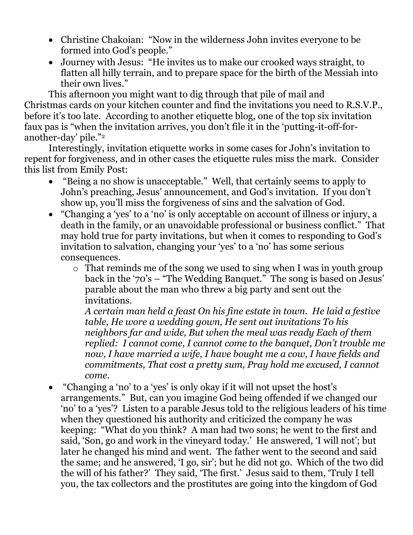- Christine Chakoian: "Now in the wilderness John invites everyone to be formed into God's people."
- Journey with Jesus: "He invites us to make our crooked ways straight, to flatten all hilly terrain, and to prepare space for the birth of the Messiah into their own lives."

This afternoon you might want to dig through that pile of mail and Christmas cards on your kitchen counter and find the invitations you need to R.S.V.P., before it's too late. According to another etiquette blog, one of the top six invitation faux pas is "when the invitation arrives, you don't file it in the 'putting-it-off-foranother-day' pile."<sup>2</sup>

Interestingly, invitation etiquette works in some cases for John's invitation to repent for forgiveness, and in other cases the etiquette rules miss the mark. Consider this list from Emily Post:

- "Being a no show is unacceptable." Well, that certainly seems to apply to John's preaching, Jesus' announcement, and God's invitation. If you don't show up, you'll miss the forgiveness of sins and the salvation of God.
- "Changing a 'yes' to a 'no' is only acceptable on account of illness or injury, a death in the family, or an unavoidable professional or business conflict." That may hold true for party invitations, but when it comes to responding to God's invitation to salvation, changing your 'yes' to a 'no' has some serious consequences.
	- o That reminds me of the song we used to sing when I was in youth group back in the '70's – "The Wedding Banquet." The song is based on Jesus' parable about the man who threw a big party and sent out the invitations.

*A certain man held a feast On his fine estate in town. He laid a festive table, He wore a wedding gown, He sent out invitations To his neighbors far and wide, But when the meal was ready Each of them replied: I cannot come, I cannot come to the banquet, Don't trouble me now, I have married a wife, I have bought me a cow, I have fields and commitments, That cost a pretty sum, Pray hold me excused, I cannot come.*

 "Changing a 'no' to a 'yes' is only okay if it will not upset the host's arrangements." But, can you imagine God being offended if we changed our 'no' to a 'yes'? Listen to a parable Jesus told to the religious leaders of his time when they questioned his authority and criticized the company he was keeping: "What do you think? A man had two sons; he went to the first and said, 'Son, go and work in the vineyard today.' He answered, 'I will not'; but later he changed his mind and went. The father went to the second and said the same; and he answered, 'I go, sir'; but he did not go. Which of the two did the will of his father?' They said, 'The first.' Jesus said to them, 'Truly I tell you, the tax collectors and the prostitutes are going into the kingdom of God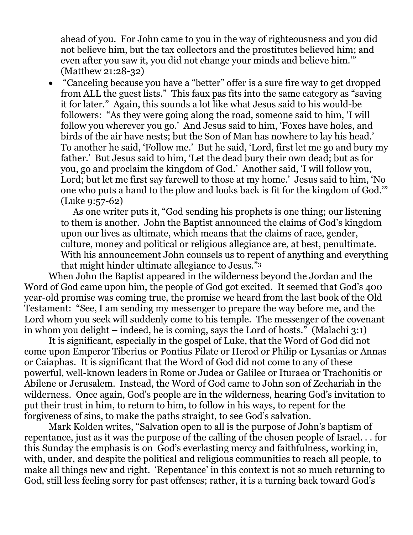ahead of you. For John came to you in the way of righteousness and you did not believe him, but the tax collectors and the prostitutes believed him; and even after you saw it, you did not change your minds and believe him.'" (Matthew 21:28-32)

 "Canceling because you have a "better" offer is a sure fire way to get dropped from ALL the guest lists." This faux pas fits into the same category as "saving it for later." Again, this sounds a lot like what Jesus said to his would-be followers: "As they were going along the road, someone said to him, 'I will follow you wherever you go.' And Jesus said to him, 'Foxes have holes, and birds of the air have nests; but the Son of Man has nowhere to lay his head.' To another he said, 'Follow me.' But he said, 'Lord, first let me go and bury my father.' But Jesus said to him, 'Let the dead bury their own dead; but as for you, go and proclaim the kingdom of God.' Another said, 'I will follow you, Lord; but let me first say farewell to those at my home.' Jesus said to him, 'No one who puts a hand to the plow and looks back is fit for the kingdom of God.'" (Luke 9:57-62)

As one writer puts it, "God sending his prophets is one thing; our listening to them is another. John the Baptist announced the claims of God's kingdom upon our lives as ultimate, which means that the claims of race, gender, culture, money and political or religious allegiance are, at best, penultimate. With his announcement John counsels us to repent of anything and everything that might hinder ultimate allegiance to Jesus."<sup>3</sup>

When John the Baptist appeared in the wilderness beyond the Jordan and the Word of God came upon him, the people of God got excited. It seemed that God's 400 year-old promise was coming true, the promise we heard from the last book of the Old Testament: "See, I am sending my messenger to prepare the way before me, and the Lord whom you seek will suddenly come to his temple. The messenger of the covenant in whom you delight – indeed, he is coming, says the Lord of hosts." (Malachi 3:1)

It is significant, especially in the gospel of Luke, that the Word of God did not come upon Emperor Tiberius or Pontius Pilate or Herod or Philip or Lysanias or Annas or Caiaphas. It is significant that the Word of God did not come to any of these powerful, well-known leaders in Rome or Judea or Galilee or Ituraea or Trachonitis or Abilene or Jerusalem. Instead, the Word of God came to John son of Zechariah in the wilderness. Once again, God's people are in the wilderness, hearing God's invitation to put their trust in him, to return to him, to follow in his ways, to repent for the forgiveness of sins, to make the paths straight, to see God's salvation.

Mark Kolden writes, "Salvation open to all is the purpose of John's baptism of repentance, just as it was the purpose of the calling of the chosen people of Israel. . . for this Sunday the emphasis is on God's everlasting mercy and faithfulness, working in, with, under, and despite the political and religious communities to reach all people, to make all things new and right. 'Repentance' in this context is not so much returning to God, still less feeling sorry for past offenses; rather, it is a turning back toward God's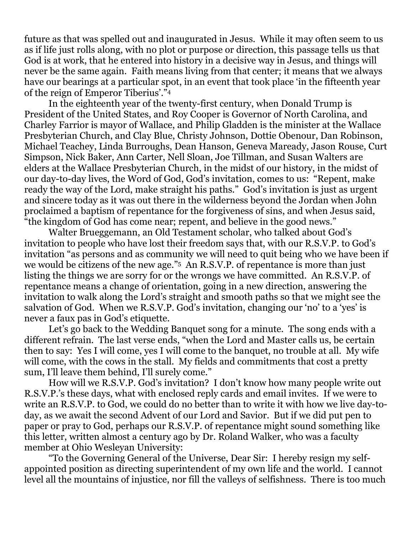future as that was spelled out and inaugurated in Jesus. While it may often seem to us as if life just rolls along, with no plot or purpose or direction, this passage tells us that God is at work, that he entered into history in a decisive way in Jesus, and things will never be the same again. Faith means living from that center; it means that we always have our bearings at a particular spot, in an event that took place 'in the fifteenth year of the reign of Emperor Tiberius'."<sup>4</sup>

In the eighteenth year of the twenty-first century, when Donald Trump is President of the United States, and Roy Cooper is Governor of North Carolina, and Charley Farrior is mayor of Wallace, and Philip Gladden is the minister at the Wallace Presbyterian Church, and Clay Blue, Christy Johnson, Dottie Obenour, Dan Robinson, Michael Teachey, Linda Burroughs, Dean Hanson, Geneva Maready, Jason Rouse, Curt Simpson, Nick Baker, Ann Carter, Nell Sloan, Joe Tillman, and Susan Walters are elders at the Wallace Presbyterian Church, in the midst of our history, in the midst of our day-to-day lives, the Word of God, God's invitation, comes to us: "Repent, make ready the way of the Lord, make straight his paths." God's invitation is just as urgent and sincere today as it was out there in the wilderness beyond the Jordan when John proclaimed a baptism of repentance for the forgiveness of sins, and when Jesus said, "the kingdom of God has come near; repent, and believe in the good news."

Walter Brueggemann, an Old Testament scholar, who talked about God's invitation to people who have lost their freedom says that, with our R.S.V.P. to God's invitation "as persons and as community we will need to quit being who we have been if we would be citizens of the new age."5 An R.S.V.P. of repentance is more than just listing the things we are sorry for or the wrongs we have committed. An R.S.V.P. of repentance means a change of orientation, going in a new direction, answering the invitation to walk along the Lord's straight and smooth paths so that we might see the salvation of God. When we R.S.V.P. God's invitation, changing our 'no' to a 'yes' is never a faux pas in God's etiquette.

Let's go back to the Wedding Banquet song for a minute. The song ends with a different refrain. The last verse ends, "when the Lord and Master calls us, be certain then to say: Yes I will come, yes I will come to the banquet, no trouble at all. My wife will come, with the cows in the stall. My fields and commitments that cost a pretty sum, I'll leave them behind, I'll surely come."

How will we R.S.V.P. God's invitation? I don't know how many people write out R.S.V.P.'s these days, what with enclosed reply cards and email invites. If we were to write an R.S.V.P. to God, we could do no better than to write it with how we live day-today, as we await the second Advent of our Lord and Savior. But if we did put pen to paper or pray to God, perhaps our R.S.V.P. of repentance might sound something like this letter, written almost a century ago by Dr. Roland Walker, who was a faculty member at Ohio Wesleyan University:

"To the Governing General of the Universe, Dear Sir: I hereby resign my selfappointed position as directing superintendent of my own life and the world. I cannot level all the mountains of injustice, nor fill the valleys of selfishness. There is too much